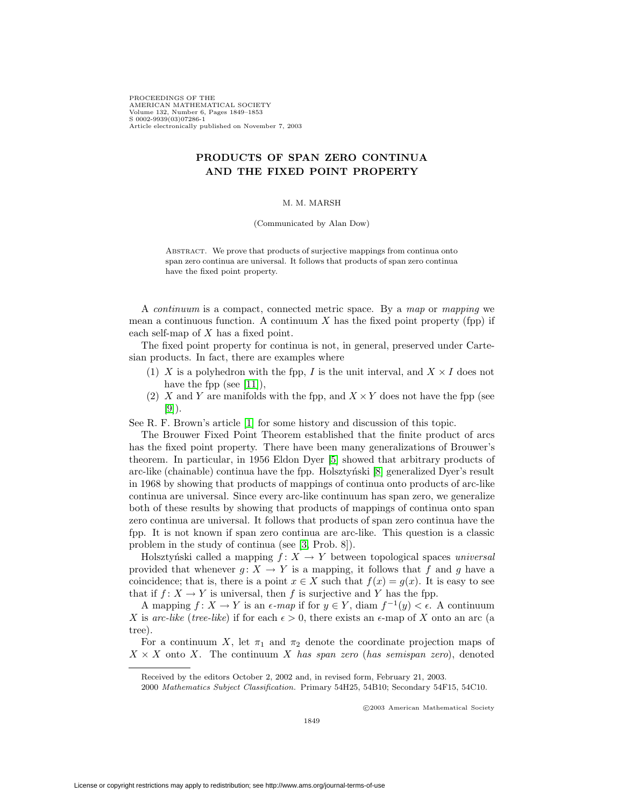PROCEEDINGS OF THE AMERICAN MATHEMATICAL SOCIETY Volume 132, Number 6, Pages 1849–1853 S 0002-9939(03)07286-1 Article electronically published on November 7, 2003

## **PRODUCTS OF SPAN ZERO CONTINUA AND THE FIXED POINT PROPERTY**

## M. M. MARSH

(Communicated by Alan Dow)

ABSTRACT. We prove that products of surjective mappings from continua onto span zero continua are universal. It follows that products of span zero continua have the fixed point property.

A continuum is a compact, connected metric space. By a map or mapping we mean a continuous function. A continuum  $X$  has the fixed point property (fpp) if each self-map of X has a fixed point.

The fixed point property for continua is not, in general, preserved under Cartesian products. In fact, there are examples where

- (1) X is a polyhedron with the fpp, I is the unit interval, and  $X \times I$  does not have the fpp (see [\[11\]](#page-4-0)),
- (2) X and Y are manifolds with the fpp, and  $X \times Y$  does not have the fpp (see [\[9\]](#page-4-1)).

See R. F. Brown's article [\[1\]](#page-4-2) for some history and discussion of this topic.

The Brouwer Fixed Point Theorem established that the finite product of arcs has the fixed point property. There have been many generalizations of Brouwer's theorem. In particular, in 1956 Eldon Dyer [\[5\]](#page-4-3) showed that arbitrary products of arc-like (chainable) continua have the fpp. Holsztyński  $[8]$  generalized Dyer's result in 1968 by showing that products of mappings of continua onto products of arc-like continua are universal. Since every arc-like continuum has span zero, we generalize both of these results by showing that products of mappings of continua onto span zero continua are universal. It follows that products of span zero continua have the fpp. It is not known if span zero continua are arc-like. This question is a classic problem in the study of continua (see [\[3,](#page-4-5) Prob. 8]).

Holsztyński called a mapping  $f: X \to Y$  between topological spaces universal provided that whenever  $g: X \to Y$  is a mapping, it follows that f and g have a coincidence; that is, there is a point  $x \in X$  such that  $f(x) = g(x)$ . It is easy to see that if  $f: X \to Y$  is universal, then f is surjective and Y has the fpp.

A mapping  $f: X \to Y$  is an  $\epsilon$ -map if for  $y \in Y$ , diam  $f^{-1}(y) < \epsilon$ . A continuum X is arc-like (tree-like) if for each  $\epsilon > 0$ , there exists an  $\epsilon$ -map of X onto an arc (a tree).

For a continuum X, let  $\pi_1$  and  $\pi_2$  denote the coordinate projection maps of  $X \times X$  onto X. The continuum X has span zero (has semispan zero), denoted

2000 Mathematics Subject Classification. Primary 54H25, 54B10; Secondary 54F15, 54C10.

c 2003 American Mathematical Society

Received by the editors October 2, 2002 and, in revised form, February 21, 2003.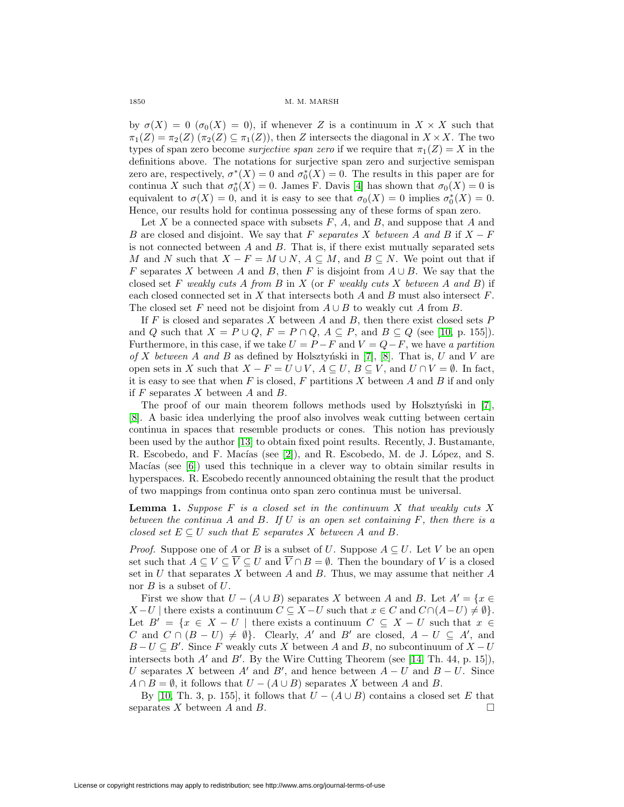## 1850 M. M. MARSH

by  $\sigma(X)=0$  ( $\sigma_0(X)=0$ ), if whenever Z is a continuum in  $X \times X$  such that  $\pi_1(Z) = \pi_2(Z)$   $(\pi_2(Z) \subseteq \pi_1(Z))$ , then Z intersects the diagonal in  $X \times X$ . The two types of span zero become *surjective span zero* if we require that  $\pi_1(Z) = X$  in the definitions above. The notations for surjective span zero and surjective semispan zero are, respectively,  $\sigma^*(X) = 0$  and  $\sigma_0^*(X) = 0$ . The results in this paper are for continua X such that  $\sigma_0^*(X) = 0$ . James F. Davis [\[4\]](#page-4-6) has shown that  $\sigma_0(X) = 0$  is equivalent to  $\sigma(X) = 0$ , and it is easy to see that  $\sigma_0(X) = 0$  implies  $\sigma_0^*(X) = 0$ . Hence, our results hold for continua possessing any of these forms of span zero.

Let X be a connected space with subsets  $F$ ,  $A$ , and  $B$ , and suppose that  $A$  and B are closed and disjoint. We say that F separates X between A and B if  $X - F$ is not connected between  $A$  and  $B$ . That is, if there exist mutually separated sets M and N such that  $X - F = M \cup N$ ,  $A \subseteq M$ , and  $B \subseteq N$ . We point out that if F separates X between A and B, then F is disjoint from  $A \cup B$ . We say that the closed set F weakly cuts A from B in X (or F weakly cuts X between A and B) if each closed connected set in  $X$  that intersects both  $A$  and  $B$  must also intersect  $F$ . The closed set F need not be disjoint from  $A \cup B$  to weakly cut A from B.

If  $F$  is closed and separates  $X$  between  $A$  and  $B$ , then there exist closed sets  $P$ and Q such that  $X = P \cup Q$ ,  $F = P \cap Q$ ,  $A \subseteq P$ , and  $B \subseteq Q$  (see [\[10,](#page-4-7) p. 155]). Furthermore, in this case, if we take  $U = P - F$  and  $V = Q - F$ , we have a partition of X between A and B as defined by Holsztyński in [\[7\]](#page-4-8), [\[8\]](#page-4-4). That is, U and V are open sets in X such that  $X - F = U \cup V$ ,  $A \subseteq U$ ,  $B \subseteq V$ , and  $U \cap V = \emptyset$ . In fact, it is easy to see that when  $F$  is closed,  $F$  partitions  $X$  between  $A$  and  $B$  if and only if  $F$  separates  $X$  between  $A$  and  $B$ .

The proof of our main theorem follows methods used by Holsztyński in  $[7]$ , [\[8\]](#page-4-4). A basic idea underlying the proof also involves weak cutting between certain continua in spaces that resemble products or cones. This notion has previously been used by the author [\[13\]](#page-4-9) to obtain fixed point results. Recently, J. Bustamante, R. Escobedo, and F. Macías (see [\[2\]](#page-4-10)), and R. Escobedo, M. de J. López, and S. Macías (see  $[6]$ ) used this technique in a clever way to obtain similar results in hyperspaces. R. Escobedo recently announced obtaining the result that the product of two mappings from continua onto span zero continua must be universal.

**Lemma 1.** Suppose F is a closed set in the continuum X that weakly cuts X between the continua A and B. If  $U$  is an open set containing  $F$ , then there is a closed set  $E \subseteq U$  such that E separates X between A and B.

*Proof.* Suppose one of A or B is a subset of U. Suppose  $A \subseteq U$ . Let V be an open set such that  $A \subseteq V \subseteq \overline{V} \subseteq U$  and  $\overline{V} \cap B = \emptyset$ . Then the boundary of V is a closed set in  $U$  that separates  $X$  between  $A$  and  $B$ . Thus, we may assume that neither  $A$ nor  $B$  is a subset of  $U$ .

First we show that  $U - (A \cup B)$  separates X between A and B. Let  $A' = \{x \in A\}$  $X-U$  | there exists a continuum  $C \subseteq X-U$  such that  $x \in C$  and  $C \cap (A-U) \neq \emptyset$ . Let  $B' = \{x \in X - U \mid \text{there exists a continuum } C \subseteq X - U \text{ such that } x \in$ C and  $C \cap (B-U) \neq \emptyset$ . Clearly, A' and B' are closed,  $A-U \subseteq A'$ , and  $B-U\subseteq B'$ . Since F weakly cuts X between A and B, no subcontinuum of  $X-U$ intersects both  $A'$  and  $B'$ . By the Wire Cutting Theorem (see [\[14,](#page-4-12) Th. 44, p. 15]), U separates X between A' and B', and hence between  $A-U$  and  $B-U$ . Since  $A \cap B = \emptyset$ , it follows that  $U - (A \cup B)$  separates X between A and B.

By [\[10,](#page-4-7) Th. 3, p. 155], it follows that  $U - (A \cup B)$  contains a closed set E that separates X between A and B.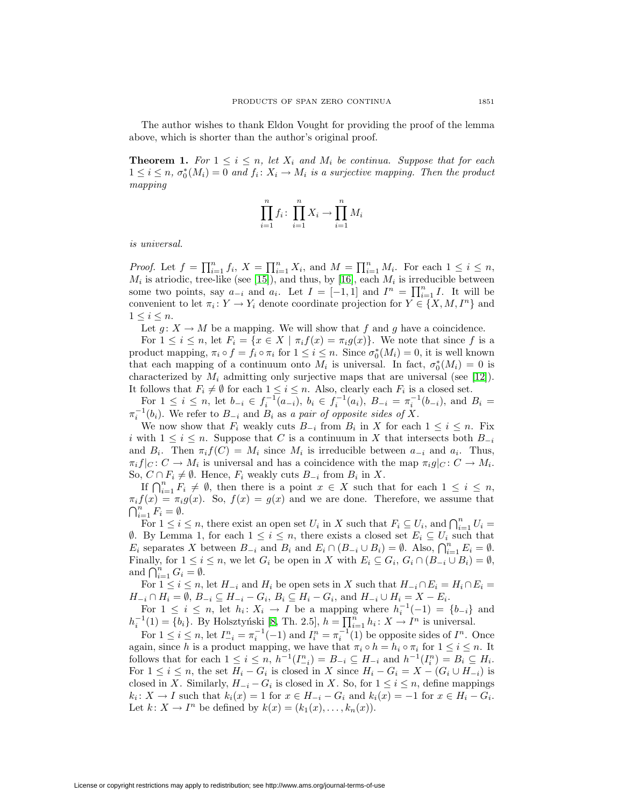The author wishes to thank Eldon Vought for providing the proof of the lemma above, which is shorter than the author's original proof.

**Theorem 1.** For  $1 \leq i \leq n$ , let  $X_i$  and  $M_i$  be continua. Suppose that for each  $1 \leq i \leq n$ ,  $\sigma_0^*(M_i) = 0$  and  $f_i \colon X_i \to M_i$  is a surjective mapping. Then the product mapping

$$
\prod_{i=1}^{n} f_i \colon \prod_{i=1}^{n} X_i \to \prod_{i=1}^{n} M_i
$$

is universal.

*Proof.* Let  $f = \prod_{i=1}^{n} f_i$ ,  $X = \prod_{i=1}^{n} X_i$ , and  $M = \prod_{i=1}^{n} M_i$ . For each  $1 \leq i \leq n$ ,  $M_i$  is atriodic, tree-like (see [\[15\]](#page-4-13)), and thus, by [\[16\]](#page-4-14), each  $M_i$  is irreducible between some two points, say  $a_{-i}$  and  $a_i$ . Let  $I = [-1, 1]$  and  $I^n = \prod_{i=1}^n I$ . It will be convenient to let  $\pi_i : Y \to Y_i$  denote coordinate projection for  $Y \in \{X, M, I^n\}$  and  $1 \leq i \leq n$ .

Let  $g: X \to M$  be a mapping. We will show that f and g have a coincidence.

For  $1 \leq i \leq n$ , let  $F_i = \{x \in X \mid \pi_i f(x) = \pi_i g(x)\}\)$ . We note that since f is a product mapping,  $\pi_i \circ f = f_i \circ \pi_i$  for  $1 \leq i \leq n$ . Since  $\sigma_0^*(M_i) = 0$ , it is well known that each mapping of a continuum onto  $M_i$  is universal. In fact,  $\sigma_0^*(M_i) = 0$  is characterized by  $M_i$  admitting only surjective maps that are universal (see [\[12\]](#page-4-15)). It follows that  $F_i \neq \emptyset$  for each  $1 \leq i \leq n$ . Also, clearly each  $F_i$  is a closed set.

For  $1 \leq i \leq n$ , let  $b_{-i} \in f_i^{-1}(a_{-i}), b_i \in f_i^{-1}(a_i), B_{-i} = \pi_i^{-1}(b_{-i}),$  and  $B_i =$  $\pi_i^{-1}(b_i)$ . We refer to  $B_{-i}$  and  $B_i$  as a pair of opposite sides of X.

We now show that  $F_i$  weakly cuts  $B_{-i}$  from  $B_i$  in X for each  $1 \leq i \leq n$ . Fix i with  $1 \leq i \leq n$ . Suppose that C is a continuum in X that intersects both  $B_{-i}$ and  $B_i$ . Then  $\pi_i f(C) = M_i$  since  $M_i$  is irreducible between  $a_{-i}$  and  $a_i$ . Thus,  $\pi_i f|_C : C \to M_i$  is universal and has a coincidence with the map  $\pi_i g|_C : C \to M_i$ . So,  $C \cap F_i \neq \emptyset$ . Hence,  $F_i$  weakly cuts  $B_{-i}$  from  $B_i$  in X.

If  $\bigcap_{i=1}^n F_i \neq \emptyset$ , then there is a point  $x \in X$  such that for each  $1 \leq i \leq n$ ,  $\pi_i f(x) = \pi_i g(x)$ . So,  $f(x) = g(x)$  and we are done. Therefore, we assume that  $\bigcap_{i=1}^n F_i = \emptyset.$ 

For  $1 \leq i \leq n$ , there exist an open set  $U_i$  in X such that  $F_i \subseteq U_i$ , and  $\bigcap_{i=1}^n U_i =$  $∅$ . By Lemma 1, for each  $1 ≤ i ≤ n$ , there exists a closed set  $E_i ⊆ U_i$  such that  $E_i$  separates X between  $B_{-i}$  and  $B_i$  and  $E_i \cap (B_{-i} \cup B_i) = \emptyset$ . Also,  $\bigcap_{i=1}^n E_i = \emptyset$ . Finally, for  $1 \leq i \leq n$ , we let  $G_i$  be open in X with  $E_i \subseteq G_i$ ,  $G_i \cap (B_{-i} \cup B_i) = \emptyset$ , and  $\bigcap_{i=1}^n G_i = \emptyset$ .

For  $1 \leq i \leq n$ , let  $H_{-i}$  and  $H_i$  be open sets in X such that  $H_{-i} \cap E_i = H_i \cap E_i =$  $H_{-i} \cap H_i = \emptyset$ ,  $B_{-i} \subseteq H_{-i} - G_i$ ,  $B_i \subseteq H_i - G_i$ , and  $H_{-i} \cup H_i = X - E_i$ .

For  $1 \leq i \leq n$ , let  $h_i: X_i \to I$  be a mapping where  $h_i^{-1}(-1) = \{b_{-i}\}\$ and  $h_i^{-1}(1) = \{b_i\}$ . By Holsztyński [\[8,](#page-4-4) Th. 2.5],  $h = \prod_{i=1}^n h_i : X \to I^n$  is universal.

For  $1 \leq i \leq n$ , let  $I_{-i}^n = \pi_i^{-1}(-1)$  and  $I_i^n = \pi_i^{-1}(1)$  be opposite sides of  $I^n$ . Once again, since h is a product mapping, we have that  $\pi_i \circ h = h_i \circ \pi_i$  for  $1 \leq i \leq n$ . It follows that for each  $1 \leq i \leq n$ ,  $h^{-1}(I_{-i}^n) = B_{-i} \subseteq H_{-i}$  and  $h^{-1}(I_i^n) = B_i \subseteq H_i$ . For  $1 \leq i \leq n$ , the set  $H_i - G_i$  is closed in X since  $H_i - G_i = X - (G_i \cup H_{-i})$  is closed in X. Similarly,  $H_{-i} - G_i$  is closed in X. So, for  $1 \leq i \leq n$ , define mappings  $k_i: X \to I$  such that  $k_i(x) = 1$  for  $x \in H_{-i} - G_i$  and  $k_i(x) = -1$  for  $x \in H_i - G_i$ . Let  $k: X \to I^n$  be defined by  $k(x)=(k_1(x),\ldots,k_n(x)).$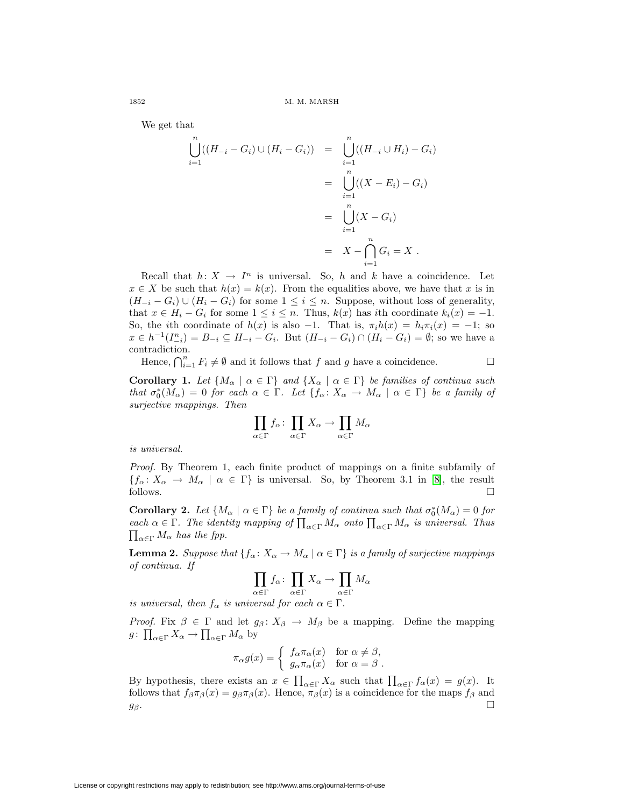We get that

$$
\bigcup_{i=1}^{n} ((H_{-i} - G_i) \cup (H_i - G_i)) = \bigcup_{i=1}^{n} ((H_{-i} \cup H_i) - G_i)
$$
  
= 
$$
\bigcup_{i=1}^{n} ((X - E_i) - G_i)
$$
  
= 
$$
\bigcup_{i=1}^{n} (X - G_i)
$$
  
= 
$$
X - \bigcap_{i=1}^{n} G_i = X.
$$

Recall that  $h: X \to I^n$  is universal. So, h and k have a coincidence. Let  $x \in X$  be such that  $h(x) = k(x)$ . From the equalities above, we have that x is in  $(H_{-i} - G_i) \cup (H_i - G_i)$  for some  $1 \leq i \leq n$ . Suppose, without loss of generality, that  $x \in H_i - G_i$  for some  $1 \leq i \leq n$ . Thus,  $k(x)$  has ith coordinate  $k_i(x) = -1$ . So, the ith coordinate of  $h(x)$  is also -1. That is,  $\pi_i h(x) = h_i \pi_i(x) = -1$ ; so  $x \in h^{-1}(I_{-i}^n) = B_{-i} \subseteq H_{-i} - G_i$ . But  $(H_{-i} - G_i) \cap (H_i - G_i) = \emptyset$ ; so we have a contradiction.

Hence,  $\bigcap_{i=1}^n F_i \neq \emptyset$  and it follows that f and g have a coincidence.

**Corollary 1.** Let  $\{M_{\alpha} \mid \alpha \in \Gamma\}$  and  $\{X_{\alpha} \mid \alpha \in \Gamma\}$  be families of continua such that  $\sigma_0^*(M_\alpha)=0$  for each  $\alpha \in \Gamma$ . Let  $\{f_\alpha: X_\alpha \to M_\alpha \mid \alpha \in \Gamma\}$  be a family of surjective mappings. Then

$$
\prod_{\alpha\in\Gamma}f_\alpha\colon\prod_{\alpha\in\Gamma}X_\alpha\to\prod_{\alpha\in\Gamma}M_\alpha
$$

is universal.

Proof. By Theorem 1, each finite product of mappings on a finite subfamily of  ${f_\alpha: X_\alpha \to M_\alpha \mid \alpha \in \Gamma}$  is universal. So, by Theorem 3.1 in [\[8\]](#page-4-4), the result follows.  $\Box$ 

**Corollary 2.** Let  $\{M_{\alpha} \mid \alpha \in \Gamma\}$  be a family of continua such that  $\sigma_0^*(M_{\alpha}) = 0$  for each  $\alpha \in \Gamma$ . The identity mapping of  $\prod_{\alpha \in \Gamma} M_{\alpha}$  onto  $\prod_{\alpha \in \Gamma} M_{\alpha}$  is universal. Thus  $\prod_{\alpha \in \Gamma} M_{\alpha}$  has the fpp.  $\prod_{\alpha \in \Gamma} M_{\alpha}$  has the fpp.

**Lemma 2.** Suppose that  $\{f_{\alpha} : X_{\alpha} \to M_{\alpha} \mid \alpha \in \Gamma\}$  is a family of surjective mappings of continua. If

$$
\prod_{\alpha \in \Gamma} f_{\alpha} \colon \prod_{\alpha \in \Gamma} X_{\alpha} \to \prod_{\alpha \in \Gamma} M_{\alpha}
$$

is universal, then  $f_{\alpha}$  is universal for each  $\alpha \in \Gamma$ .

*Proof.* Fix  $\beta \in \Gamma$  and let  $g_{\beta}: X_{\beta} \to M_{\beta}$  be a mapping. Define the mapping  $g: \prod_{\alpha \in \Gamma} X_{\alpha} \to \prod_{\alpha \in \Gamma} M_{\alpha}$  by

$$
\pi_{\alpha}g(x) = \begin{cases} \nf_{\alpha}\pi_{\alpha}(x) & \text{for } \alpha \neq \beta, \\ \ng_{\alpha}\pi_{\alpha}(x) & \text{for } \alpha = \beta.\n\end{cases}
$$

By hypothesis, there exists an  $x \in \prod_{\alpha \in \Gamma} X_\alpha$  such that  $\prod_{\alpha \in \Gamma} f_\alpha(x) = g(x)$ . It follows that  $f_{\beta}\pi_{\beta}(x) = g_{\beta}\pi_{\beta}(x)$ . Hence,  $\pi_{\beta}(x)$  is a coincidence for the maps  $f_{\beta}$  and  $g_{\beta}$ .